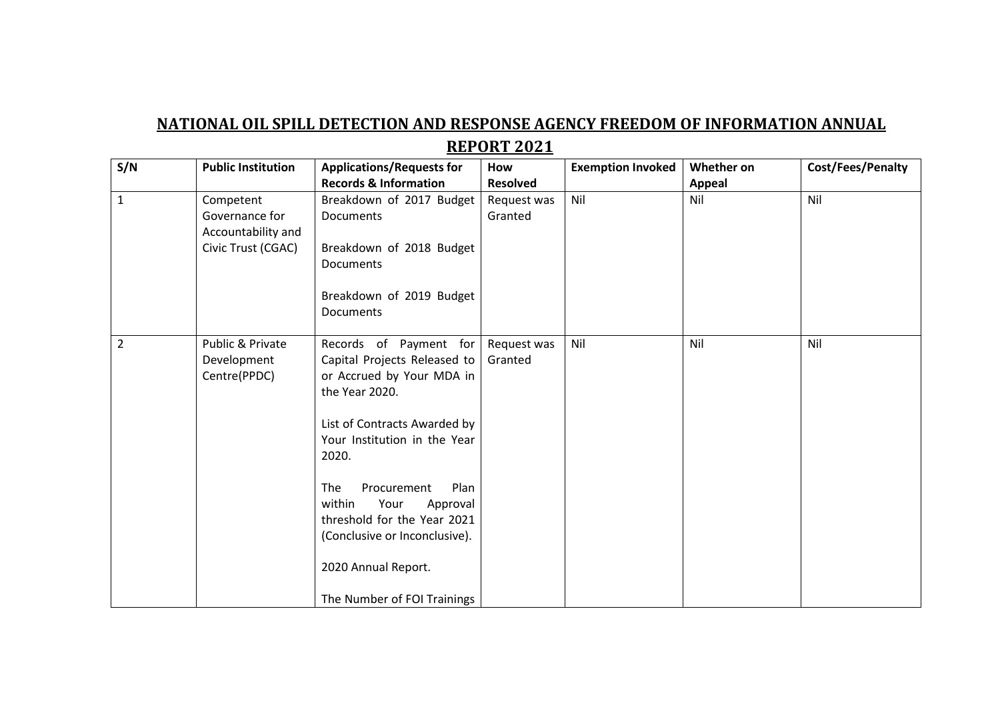## **NATIONAL OIL SPILL DETECTION AND RESPONSE AGENCY FREEDOM OF INFORMATION ANNUAL REPORT 2021**

| S/N            | <b>Public Institution</b>                                               | <b>Applications/Requests for</b>                                                                                                                                                                                                                                                                                                                                 | How                    | <b>Exemption Invoked</b> | Whether on    | Cost/Fees/Penalty |
|----------------|-------------------------------------------------------------------------|------------------------------------------------------------------------------------------------------------------------------------------------------------------------------------------------------------------------------------------------------------------------------------------------------------------------------------------------------------------|------------------------|--------------------------|---------------|-------------------|
|                |                                                                         | <b>Records &amp; Information</b>                                                                                                                                                                                                                                                                                                                                 | <b>Resolved</b>        |                          | <b>Appeal</b> |                   |
| $\mathbf{1}$   | Competent<br>Governance for<br>Accountability and<br>Civic Trust (CGAC) | Breakdown of 2017 Budget<br>Documents<br>Breakdown of 2018 Budget<br>Documents<br>Breakdown of 2019 Budget<br>Documents                                                                                                                                                                                                                                          | Request was<br>Granted | Nil                      | Nil           | Nil               |
| $\overline{2}$ | Public & Private<br>Development<br>Centre(PPDC)                         | Records of Payment for<br>Capital Projects Released to<br>or Accrued by Your MDA in<br>the Year 2020.<br>List of Contracts Awarded by<br>Your Institution in the Year<br>2020.<br>The<br>Plan<br>Procurement<br>within<br>Your<br>Approval<br>threshold for the Year 2021<br>(Conclusive or Inconclusive).<br>2020 Annual Report.<br>The Number of FOI Trainings | Request was<br>Granted | Nil                      | Nil           | Nil               |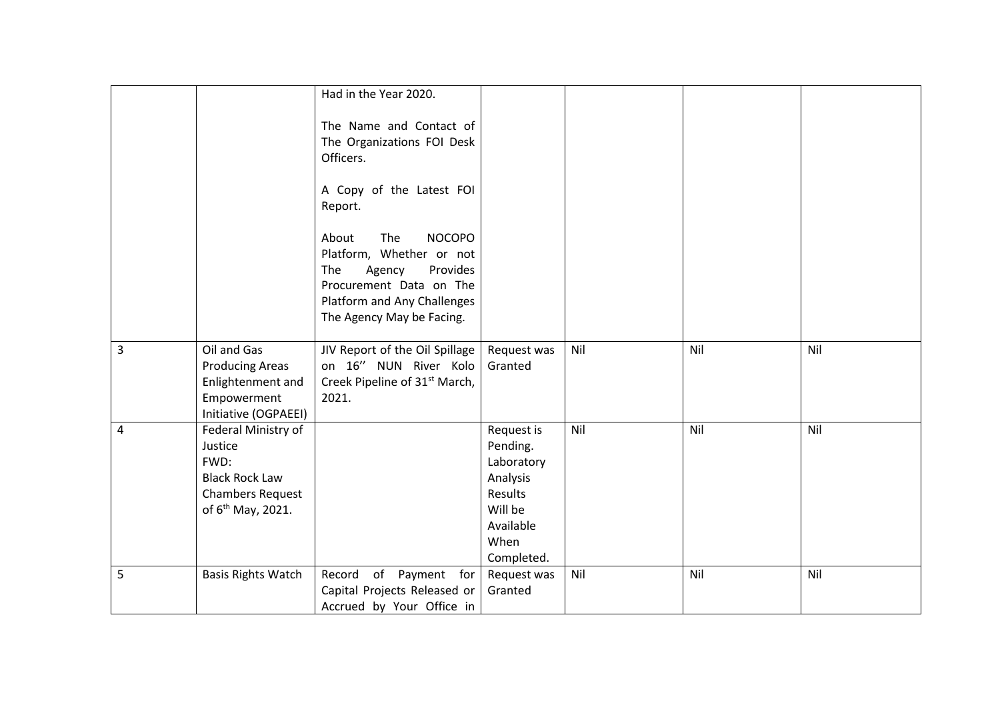|   |                               | Had in the Year 2020.                     |             |     |     |     |
|---|-------------------------------|-------------------------------------------|-------------|-----|-----|-----|
|   |                               |                                           |             |     |     |     |
|   |                               | The Name and Contact of                   |             |     |     |     |
|   |                               | The Organizations FOI Desk                |             |     |     |     |
|   |                               | Officers.                                 |             |     |     |     |
|   |                               | A Copy of the Latest FOI                  |             |     |     |     |
|   |                               | Report.                                   |             |     |     |     |
|   |                               | <b>NOCOPO</b><br>About<br>The             |             |     |     |     |
|   |                               | Platform, Whether or not                  |             |     |     |     |
|   |                               | Agency<br>Provides<br>The                 |             |     |     |     |
|   |                               | Procurement Data on The                   |             |     |     |     |
|   |                               | Platform and Any Challenges               |             |     |     |     |
|   |                               | The Agency May be Facing.                 |             |     |     |     |
| 3 | Oil and Gas                   | JIV Report of the Oil Spillage            | Request was | Nil | Nil | Nil |
|   | <b>Producing Areas</b>        | on 16" NUN River Kolo                     | Granted     |     |     |     |
|   | Enlightenment and             | Creek Pipeline of 31 <sup>st</sup> March, |             |     |     |     |
|   | Empowerment                   | 2021.                                     |             |     |     |     |
|   | Initiative (OGPAEEI)          |                                           |             |     |     |     |
| 4 | Federal Ministry of           |                                           | Request is  | Nil | Nil | Nil |
|   | Justice                       |                                           | Pending.    |     |     |     |
|   | FWD:                          |                                           | Laboratory  |     |     |     |
|   | <b>Black Rock Law</b>         |                                           | Analysis    |     |     |     |
|   | <b>Chambers Request</b>       |                                           | Results     |     |     |     |
|   | of 6 <sup>th</sup> May, 2021. |                                           | Will be     |     |     |     |
|   |                               |                                           | Available   |     |     |     |
|   |                               |                                           | When        |     |     |     |
|   |                               |                                           | Completed.  |     |     |     |
| 5 | <b>Basis Rights Watch</b>     | of Payment for<br>Record                  | Request was | Nil | Nil | Nil |
|   |                               | Capital Projects Released or              | Granted     |     |     |     |
|   |                               | Accrued by Your Office in                 |             |     |     |     |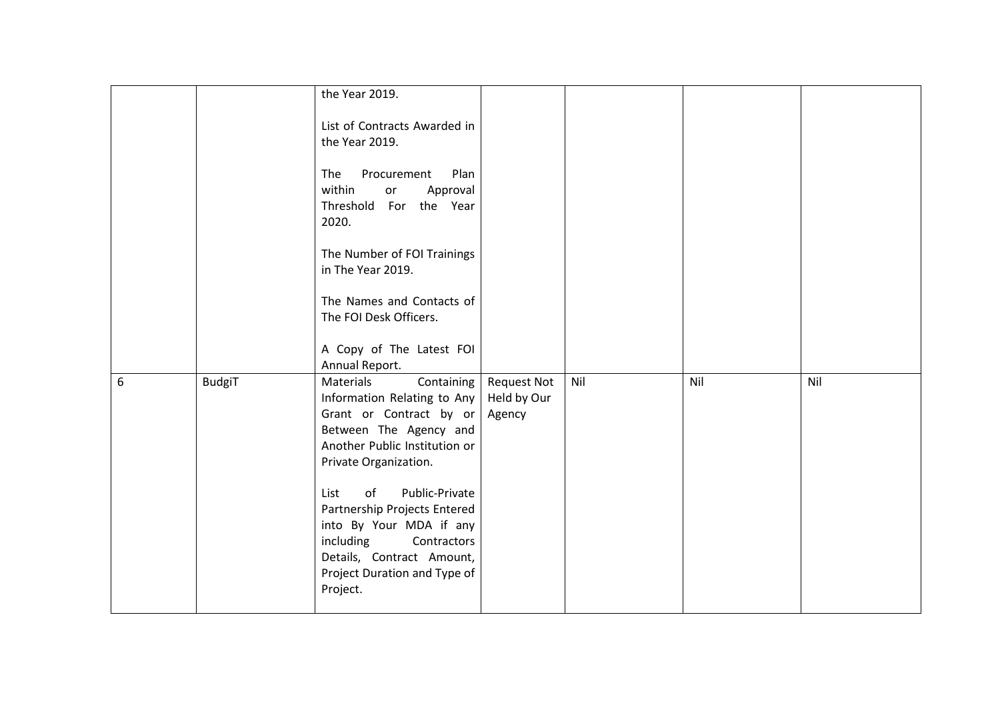|   |               | the Year 2019.                |                    |     |     |     |
|---|---------------|-------------------------------|--------------------|-----|-----|-----|
|   |               |                               |                    |     |     |     |
|   |               | List of Contracts Awarded in  |                    |     |     |     |
|   |               | the Year 2019.                |                    |     |     |     |
|   |               |                               |                    |     |     |     |
|   |               | The<br>Procurement<br>Plan    |                    |     |     |     |
|   |               | within<br>Approval<br>or      |                    |     |     |     |
|   |               | Threshold For the Year        |                    |     |     |     |
|   |               | 2020.                         |                    |     |     |     |
|   |               |                               |                    |     |     |     |
|   |               | The Number of FOI Trainings   |                    |     |     |     |
|   |               | in The Year 2019.             |                    |     |     |     |
|   |               |                               |                    |     |     |     |
|   |               | The Names and Contacts of     |                    |     |     |     |
|   |               | The FOI Desk Officers.        |                    |     |     |     |
|   |               |                               |                    |     |     |     |
|   |               | A Copy of The Latest FOI      |                    |     |     |     |
|   |               | Annual Report.                |                    |     |     |     |
| 6 | <b>BudgiT</b> | Materials<br>Containing       | <b>Request Not</b> | Nil | Nil | Nil |
|   |               | Information Relating to Any   | Held by Our        |     |     |     |
|   |               | Grant or Contract by or       | Agency             |     |     |     |
|   |               | Between The Agency and        |                    |     |     |     |
|   |               | Another Public Institution or |                    |     |     |     |
|   |               | Private Organization.         |                    |     |     |     |
|   |               |                               |                    |     |     |     |
|   |               | of<br>Public-Private<br>List  |                    |     |     |     |
|   |               | Partnership Projects Entered  |                    |     |     |     |
|   |               | into By Your MDA if any       |                    |     |     |     |
|   |               | including<br>Contractors      |                    |     |     |     |
|   |               | Details, Contract Amount,     |                    |     |     |     |
|   |               | Project Duration and Type of  |                    |     |     |     |
|   |               |                               |                    |     |     |     |
|   |               | Project.                      |                    |     |     |     |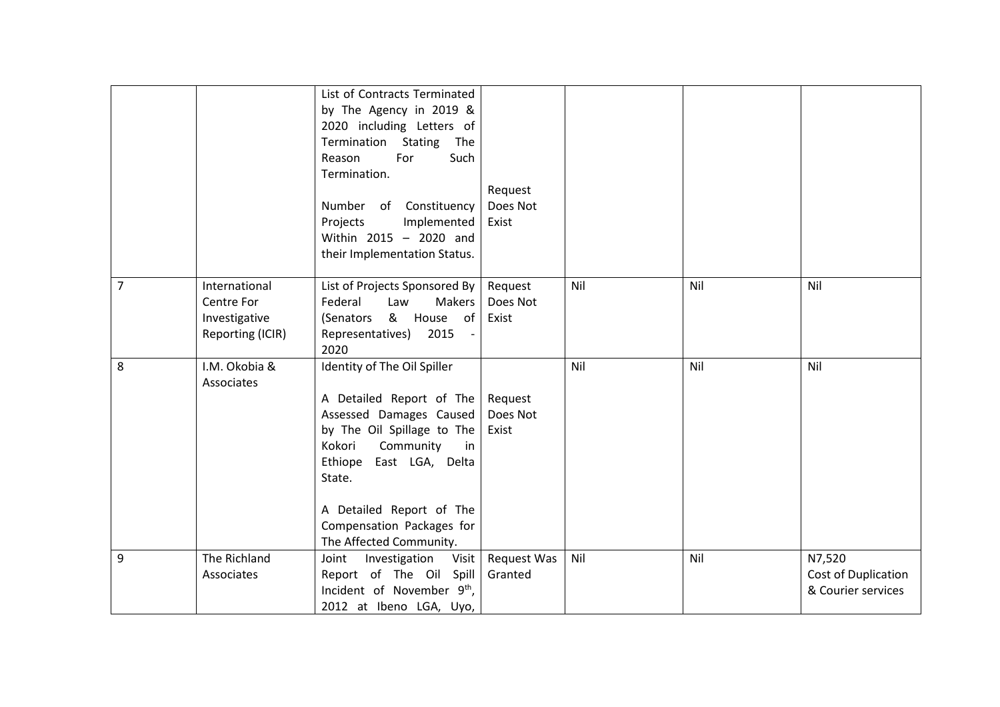|   |                                                                  | List of Contracts Terminated<br>by The Agency in 2019 &<br>2020 including Letters of<br>Termination<br>Stating<br>The<br>Such<br>Reason<br>For<br>Termination.<br>Number of Constituency<br>Implemented<br>Projects<br>Within 2015 - 2020 and<br>their Implementation Status. | Request<br>Does Not<br>Exist |     |     |                                                     |
|---|------------------------------------------------------------------|-------------------------------------------------------------------------------------------------------------------------------------------------------------------------------------------------------------------------------------------------------------------------------|------------------------------|-----|-----|-----------------------------------------------------|
| 7 | International<br>Centre For<br>Investigative<br>Reporting (ICIR) | List of Projects Sponsored By<br>Federal<br>Law<br>Makers<br>& House of<br>(Senators<br>Representatives)<br>2015<br>2020                                                                                                                                                      | Request<br>Does Not<br>Exist | Nil | Nil | Nil                                                 |
| 8 | I.M. Okobia &<br>Associates                                      | Identity of The Oil Spiller<br>A Detailed Report of The<br>Assessed Damages Caused<br>by The Oil Spillage to The<br>Kokori<br>Community<br>in<br>East LGA, Delta<br>Ethiope<br>State.<br>A Detailed Report of The<br>Compensation Packages for<br>The Affected Community.     | Request<br>Does Not<br>Exist | Nil | Nil | Nil                                                 |
| 9 | The Richland<br>Associates                                       | Visit<br>Joint<br>Investigation<br>Report of The Oil Spill<br>Incident of November 9 <sup>th</sup> ,<br>2012 at Ibeno LGA, Uyo,                                                                                                                                               | Request Was<br>Granted       | Nil | Nil | N7,520<br>Cost of Duplication<br>& Courier services |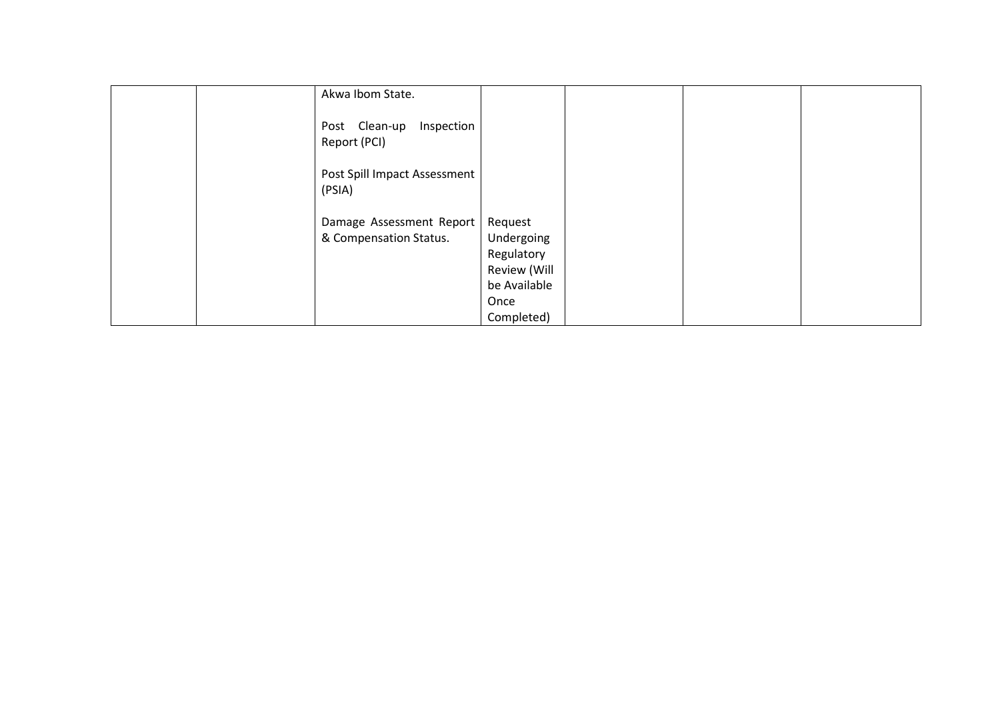|  | Akwa Ibom State.                            |              |  |  |
|--|---------------------------------------------|--------------|--|--|
|  | Inspection<br>Post Clean-up<br>Report (PCI) |              |  |  |
|  | Post Spill Impact Assessment<br>(PSIA)      |              |  |  |
|  | Damage Assessment Report                    | Request      |  |  |
|  | & Compensation Status.                      | Undergoing   |  |  |
|  |                                             | Regulatory   |  |  |
|  |                                             | Review (Will |  |  |
|  |                                             | be Available |  |  |
|  |                                             | Once         |  |  |
|  |                                             | Completed)   |  |  |